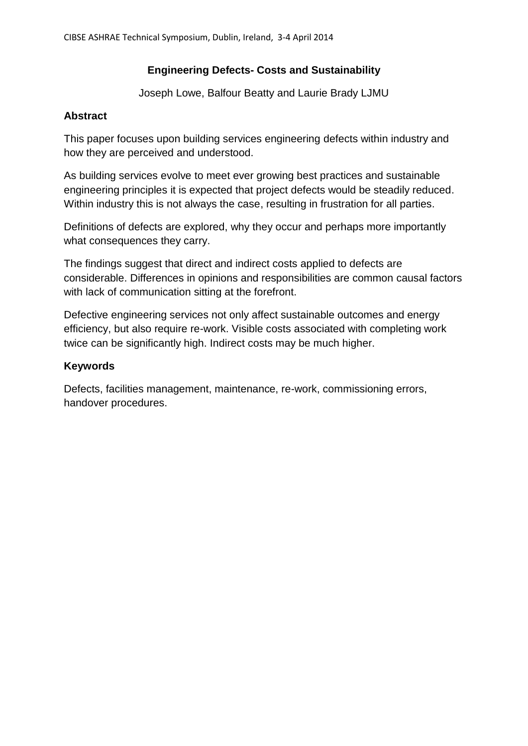### **Engineering Defects- Costs and Sustainability**

Joseph Lowe, Balfour Beatty and Laurie Brady LJMU

#### **Abstract**

This paper focuses upon building services engineering defects within industry and how they are perceived and understood.

As building services evolve to meet ever growing best practices and sustainable engineering principles it is expected that project defects would be steadily reduced. Within industry this is not always the case, resulting in frustration for all parties.

Definitions of defects are explored, why they occur and perhaps more importantly what consequences they carry.

The findings suggest that direct and indirect costs applied to defects are considerable. Differences in opinions and responsibilities are common causal factors with lack of communication sitting at the forefront.

Defective engineering services not only affect sustainable outcomes and energy efficiency, but also require re-work. Visible costs associated with completing work twice can be significantly high. Indirect costs may be much higher.

#### **Keywords**

Defects, facilities management, maintenance, re-work, commissioning errors, handover procedures.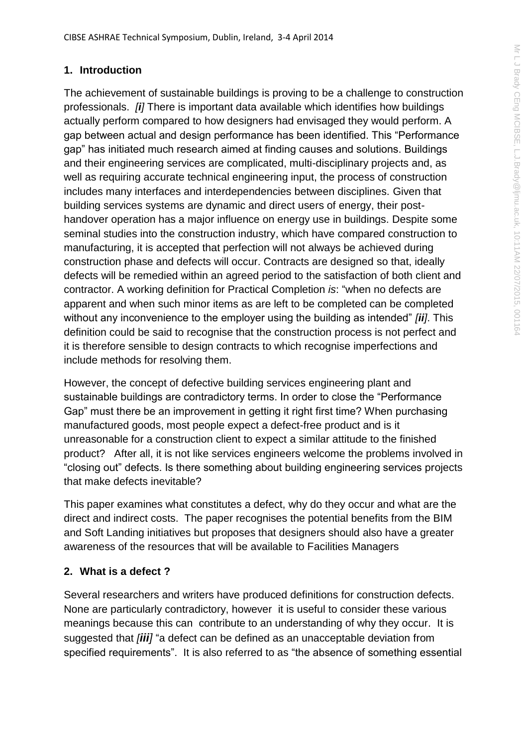#### **1. Introduction**

The achievement of sustainable buildings is proving to be a challenge to construction professionals. *[i]* There is important data available which identifies how buildings actually perform compared to how designers had envisaged they would perform. A gap between actual and design performance has been identified. This "Performance gap" has initiated much research aimed at finding causes and solutions. Buildings and their engineering services are complicated, multi-disciplinary projects and, as well as requiring accurate technical engineering input, the process of construction includes many interfaces and interdependencies between disciplines. Given that building services systems are dynamic and direct users of energy, their posthandover operation has a major influence on energy use in buildings. Despite some seminal studies into the construction industry, which have compared construction to manufacturing, it is accepted that perfection will not always be achieved during construction phase and defects will occur. Contracts are designed so that, ideally defects will be remedied within an agreed period to the satisfaction of both client and contractor. A working definition for Practical Completion *is*: "when no defects are apparent and when such minor items as are left to be completed can be completed without any inconvenience to the employer using the building as intended" *[ii]*. This definition could be said to recognise that the construction process is not perfect and it is therefore sensible to design contracts to which recognise imperfections and include methods for resolving them.

However, the concept of defective building services engineering plant and sustainable buildings are contradictory terms. In order to close the "Performance Gap" must there be an improvement in getting it right first time? When purchasing manufactured goods, most people expect a defect-free product and is it unreasonable for a construction client to expect a similar attitude to the finished product? After all, it is not like services engineers welcome the problems involved in "closing out" defects. Is there something about building engineering services projects that make defects inevitable?

This paper examines what constitutes a defect, why do they occur and what are the direct and indirect costs. The paper recognises the potential benefits from the BIM and Soft Landing initiatives but proposes that designers should also have a greater awareness of the resources that will be available to Facilities Managers

#### **2. What is a defect ?**

Several researchers and writers have produced definitions for construction defects. None are particularly contradictory, however it is useful to consider these various meanings because this can contribute to an understanding of why they occur. It is suggested that *[iii]* "a defect can be defined as an unacceptable deviation from specified requirements". It is also referred to as "the absence of something essential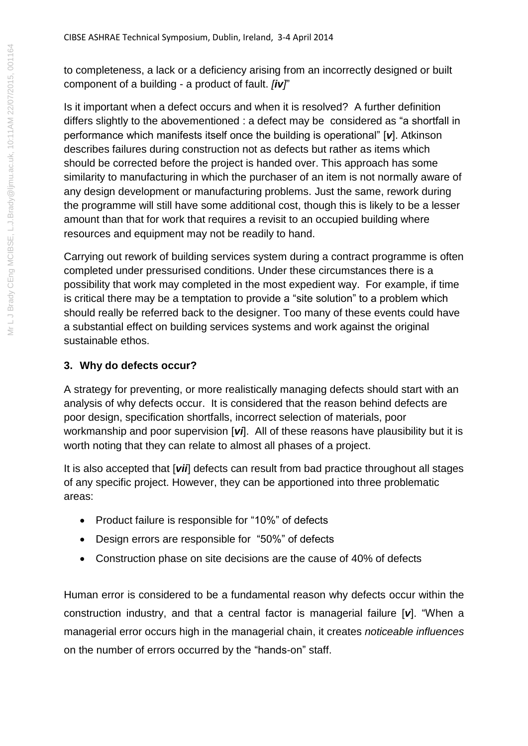to completeness, a lack or a deficiency arising from an incorrectly designed or built component of a building - a product of fault. *[iv]*"

Is it important when a defect occurs and when it is resolved? A further definition differs slightly to the abovementioned : a defect may be considered as "a shortfall in performance which manifests itself once the building is operational" [*v*]. Atkinson describes failures during construction not as defects but rather as items which should be corrected before the project is handed over. This approach has some similarity to manufacturing in which the purchaser of an item is not normally aware of any design development or manufacturing problems. Just the same, rework during the programme will still have some additional cost, though this is likely to be a lesser amount than that for work that requires a revisit to an occupied building where resources and equipment may not be readily to hand.

Carrying out rework of building services system during a contract programme is often completed under pressurised conditions. Under these circumstances there is a possibility that work may completed in the most expedient way. For example, if time is critical there may be a temptation to provide a "site solution" to a problem which should really be referred back to the designer. Too many of these events could have a substantial effect on building services systems and work against the original sustainable ethos.

## **3. Why do defects occur?**

A strategy for preventing, or more realistically managing defects should start with an analysis of why defects occur. It is considered that the reason behind defects are poor design, specification shortfalls, incorrect selection of materials, poor workmanship and poor supervision [*vi*]. All of these reasons have plausibility but it is worth noting that they can relate to almost all phases of a project.

It is also accepted that [*vii*] defects can result from bad practice throughout all stages of any specific project. However, they can be apportioned into three problematic areas:

- Product failure is responsible for "10%" of defects
- Design errors are responsible for "50%" of defects
- Construction phase on site decisions are the cause of 40% of defects

Human error is considered to be a fundamental reason why defects occur within the construction industry, and that a central factor is managerial failure [*v*]. "When a managerial error occurs high in the managerial chain, it creates *noticeable influences* on the number of errors occurred by the "hands-on" staff.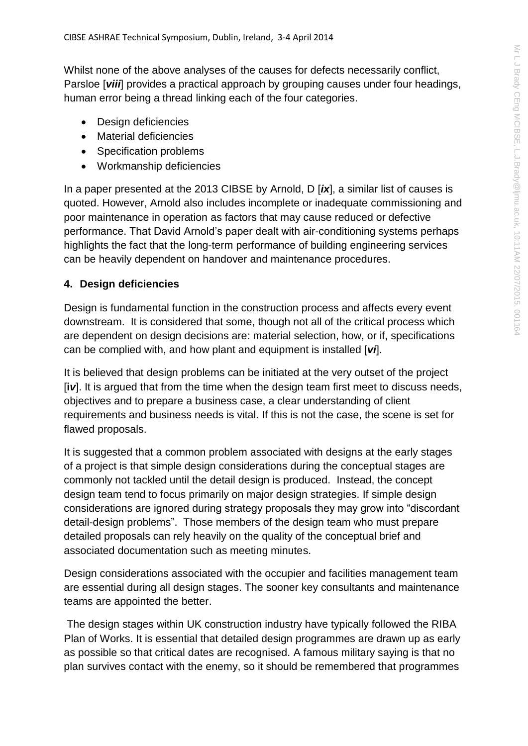Whilst none of the above analyses of the causes for defects necessarily conflict, Parsloe [*viii*] provides a practical approach by grouping causes under four headings, human error being a thread linking each of the four categories.

- Design deficiencies
- Material deficiencies
- Specification problems
- Workmanship deficiencies

In a paper presented at the 2013 CIBSE by Arnold, D [*ix*], a similar list of causes is quoted. However, Arnold also includes incomplete or inadequate commissioning and poor maintenance in operation as factors that may cause reduced or defective performance. That David Arnold's paper dealt with air-conditioning systems perhaps highlights the fact that the long-term performance of building engineering services can be heavily dependent on handover and maintenance procedures.

#### **4. Design deficiencies**

Design is fundamental function in the construction process and affects every event downstream. It is considered that some, though not all of the critical process which are dependent on design decisions are: material selection, how, or if, specifications can be complied with, and how plant and equipment is installed [*vi*].

It is believed that design problems can be initiated at the very outset of the project [**i***v*]. It is argued that from the time when the design team first meet to discuss needs, objectives and to prepare a business case, a clear understanding of client requirements and business needs is vital. If this is not the case, the scene is set for flawed proposals.

It is suggested that a common problem associated with designs at the early stages of a project is that simple design considerations during the conceptual stages are commonly not tackled until the detail design is produced. Instead, the concept design team tend to focus primarily on major design strategies. If simple design considerations are ignored during strategy proposals they may grow into "discordant detail-design problems". Those members of the design team who must prepare detailed proposals can rely heavily on the quality of the conceptual brief and associated documentation such as meeting minutes.

Design considerations associated with the occupier and facilities management team are essential during all design stages. The sooner key consultants and maintenance teams are appointed the better.

The design stages within UK construction industry have typically followed the RIBA Plan of Works. It is essential that detailed design programmes are drawn up as early as possible so that critical dates are recognised. A famous military saying is that no plan survives contact with the enemy, so it should be remembered that programmes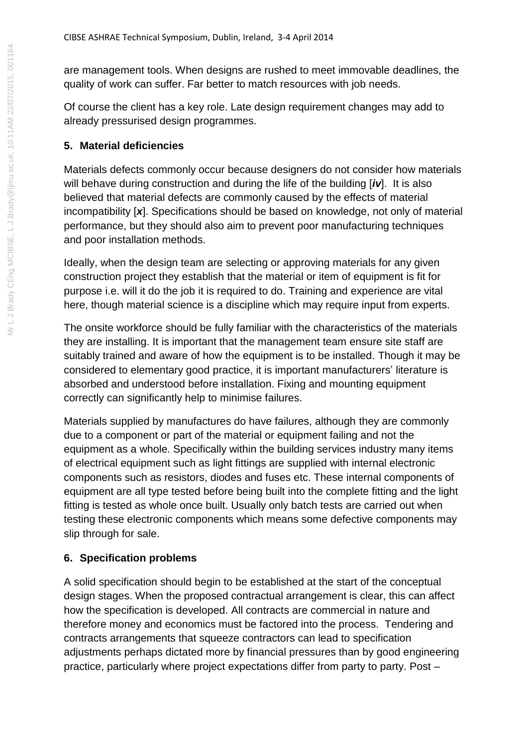are management tools. When designs are rushed to meet immovable deadlines, the quality of work can suffer. Far better to match resources with job needs.

Of course the client has a key role. Late design requirement changes may add to already pressurised design programmes.

## **5. Material deficiencies**

Materials defects commonly occur because designers do not consider how materials will behave during construction and during the life of the building [*iv*]. It is also believed that material defects are commonly caused by the effects of material incompatibility [*x*]. Specifications should be based on knowledge, not only of material performance, but they should also aim to prevent poor manufacturing techniques and poor installation methods.

Ideally, when the design team are selecting or approving materials for any given construction project they establish that the material or item of equipment is fit for purpose i.e. will it do the job it is required to do. Training and experience are vital here, though material science is a discipline which may require input from experts.

The onsite workforce should be fully familiar with the characteristics of the materials they are installing. It is important that the management team ensure site staff are suitably trained and aware of how the equipment is to be installed. Though it may be considered to elementary good practice, it is important manufacturers' literature is absorbed and understood before installation. Fixing and mounting equipment correctly can significantly help to minimise failures.

Materials supplied by manufactures do have failures, although they are commonly due to a component or part of the material or equipment failing and not the equipment as a whole. Specifically within the building services industry many items of electrical equipment such as light fittings are supplied with internal electronic components such as resistors, diodes and fuses etc. These internal components of equipment are all type tested before being built into the complete fitting and the light fitting is tested as whole once built. Usually only batch tests are carried out when testing these electronic components which means some defective components may slip through for sale.

# **6. Specification problems**

A solid specification should begin to be established at the start of the conceptual design stages. When the proposed contractual arrangement is clear, this can affect how the specification is developed. All contracts are commercial in nature and therefore money and economics must be factored into the process. Tendering and contracts arrangements that squeeze contractors can lead to specification adjustments perhaps dictated more by financial pressures than by good engineering practice, particularly where project expectations differ from party to party. Post –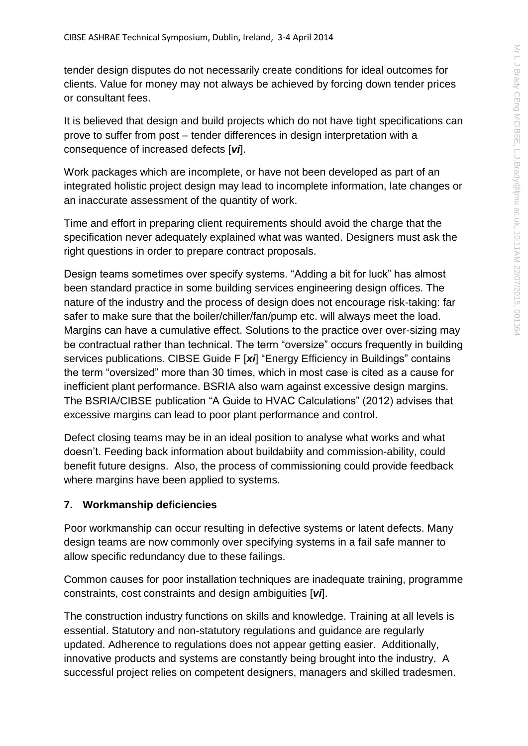tender design disputes do not necessarily create conditions for ideal outcomes for clients. Value for money may not always be achieved by forcing down tender prices or consultant fees.

It is believed that design and build projects which do not have tight specifications can prove to suffer from post – tender differences in design interpretation with a consequence of increased defects [*vi*].

Work packages which are incomplete, or have not been developed as part of an integrated holistic project design may lead to incomplete information, late changes or an inaccurate assessment of the quantity of work.

Time and effort in preparing client requirements should avoid the charge that the specification never adequately explained what was wanted. Designers must ask the right questions in order to prepare contract proposals.

Design teams sometimes over specify systems. "Adding a bit for luck" has almost been standard practice in some building services engineering design offices. The nature of the industry and the process of design does not encourage risk-taking: far safer to make sure that the boiler/chiller/fan/pump etc. will always meet the load. Margins can have a cumulative effect. Solutions to the practice over over-sizing may be contractual rather than technical. The term "oversize" occurs frequently in building services publications. CIBSE Guide F [*xi*] "Energy Efficiency in Buildings" contains the term "oversized" more than 30 times, which in most case is cited as a cause for inefficient plant performance. BSRIA also warn against excessive design margins. The BSRIA/CIBSE publication "A Guide to HVAC Calculations" (2012) advises that excessive margins can lead to poor plant performance and control.

Defect closing teams may be in an ideal position to analyse what works and what doesn't. Feeding back information about buildabiity and commission-ability, could benefit future designs. Also, the process of commissioning could provide feedback where margins have been applied to systems.

#### **7. Workmanship deficiencies**

Poor workmanship can occur resulting in defective systems or latent defects. Many design teams are now commonly over specifying systems in a fail safe manner to allow specific redundancy due to these failings.

Common causes for poor installation techniques are inadequate training, programme constraints, cost constraints and design ambiguities [*vi*].

The construction industry functions on skills and knowledge. Training at all levels is essential. Statutory and non-statutory regulations and guidance are regularly updated. Adherence to regulations does not appear getting easier. Additionally, innovative products and systems are constantly being brought into the industry. A successful project relies on competent designers, managers and skilled tradesmen.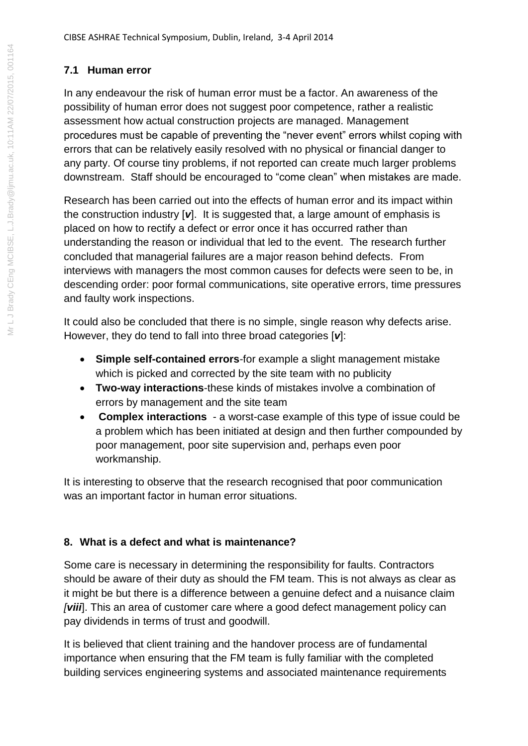## **7.1 Human error**

In any endeavour the risk of human error must be a factor. An awareness of the possibility of human error does not suggest poor competence, rather a realistic assessment how actual construction projects are managed. Management procedures must be capable of preventing the "never event" errors whilst coping with errors that can be relatively easily resolved with no physical or financial danger to any party. Of course tiny problems, if not reported can create much larger problems downstream. Staff should be encouraged to "come clean" when mistakes are made.

Research has been carried out into the effects of human error and its impact within the construction industry [*v*]. It is suggested that, a large amount of emphasis is placed on how to rectify a defect or error once it has occurred rather than understanding the reason or individual that led to the event. The research further concluded that managerial failures are a major reason behind defects. From interviews with managers the most common causes for defects were seen to be, in descending order: poor formal communications, site operative errors, time pressures and faulty work inspections.

It could also be concluded that there is no simple, single reason why defects arise. However, they do tend to fall into three broad categories [*v*]:

- **Simple self-contained errors**-for example a slight management mistake which is picked and corrected by the site team with no publicity
- **Two-way interactions**-these kinds of mistakes involve a combination of errors by management and the site team
- **Complex interactions** a worst-case example of this type of issue could be a problem which has been initiated at design and then further compounded by poor management, poor site supervision and, perhaps even poor workmanship.

It is interesting to observe that the research recognised that poor communication was an important factor in human error situations.

## **8. What is a defect and what is maintenance?**

Some care is necessary in determining the responsibility for faults. Contractors should be aware of their duty as should the FM team. This is not always as clear as it might be but there is a difference between a genuine defect and a nuisance claim *[viii*]. This an area of customer care where a good defect management policy can pay dividends in terms of trust and goodwill.

It is believed that client training and the handover process are of fundamental importance when ensuring that the FM team is fully familiar with the completed building services engineering systems and associated maintenance requirements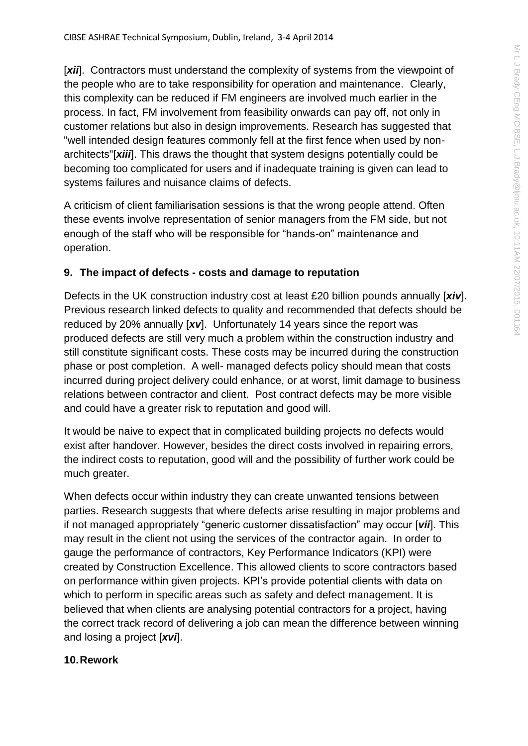[*xii*]. Contractors must understand the complexity of systems from the viewpoint of the people who are to take responsibility for operation and maintenance. Clearly, this complexity can be reduced if FM engineers are involved much earlier in the process. In fact, FM involvement from feasibility onwards can pay off, not only in customer relations but also in design improvements. Research has suggested that "well intended design features commonly fell at the first fence when used by nonarchitects"[*xiii*]. This draws the thought that system designs potentially could be becoming too complicated for users and if inadequate training is given can lead to systems failures and nuisance claims of defects.

A criticism of client familiarisation sessions is that the wrong people attend. Often these events involve representation of senior managers from the FM side, but not enough of the staff who will be responsible for "hands-on" maintenance and operation.

# **9. The impact of defects - costs and damage to reputation**

Defects in the UK construction industry cost at least £20 billion pounds annually [*xiv*]. Previous research linked defects to quality and recommended that defects should be reduced by 20% annually [*xv*]. Unfortunately 14 years since the report was produced defects are still very much a problem within the construction industry and still constitute significant costs. These costs may be incurred during the construction phase or post completion. A well- managed defects policy should mean that costs incurred during project delivery could enhance, or at worst, limit damage to business relations between contractor and client. Post contract defects may be more visible and could have a greater risk to reputation and good will.

It would be naive to expect that in complicated building projects no defects would exist after handover. However, besides the direct costs involved in repairing errors, the indirect costs to reputation, good will and the possibility of further work could be much greater.

When defects occur within industry they can create unwanted tensions between parties. Research suggests that where defects arise resulting in major problems and if not managed appropriately "generic customer dissatisfaction" may occur [*vii*]. This may result in the client not using the services of the contractor again. In order to gauge the performance of contractors, Key Performance Indicators (KPI) were created by Construction Excellence. This allowed clients to score contractors based on performance within given projects. KPI's provide potential clients with data on which to perform in specific areas such as safety and defect management. It is believed that when clients are analysing potential contractors for a project, having the correct track record of delivering a job can mean the difference between winning and losing a project [*xvi*].

## **10.Rework**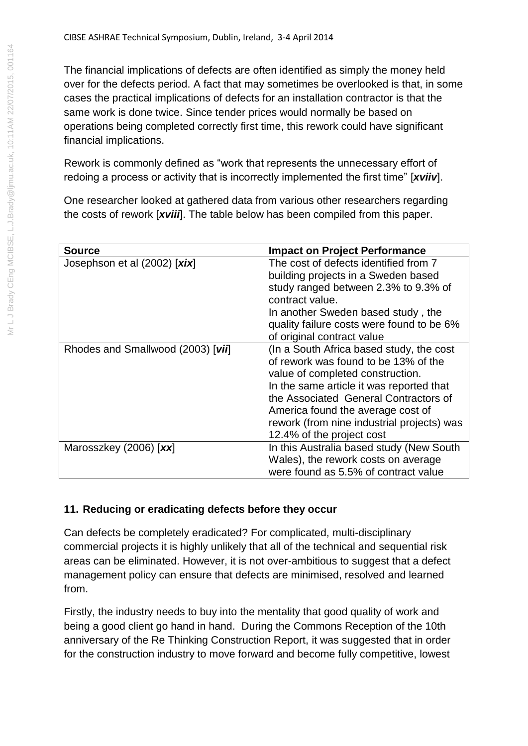The financial implications of defects are often identified as simply the money held over for the defects period. A fact that may sometimes be overlooked is that, in some cases the practical implications of defects for an installation contractor is that the same work is done twice. Since tender prices would normally be based on operations being completed correctly first time, this rework could have significant financial implications.

Rework is commonly defined as "work that represents the unnecessary effort of redoing a process or activity that is incorrectly implemented the first time" [*xviiv*].

One researcher looked at gathered data from various other researchers regarding the costs of rework [*xviii*]. The table below has been compiled from this paper.

| <b>Source</b>                     | <b>Impact on Project Performance</b>                                                                                                                                                                                                                                                                                      |
|-----------------------------------|---------------------------------------------------------------------------------------------------------------------------------------------------------------------------------------------------------------------------------------------------------------------------------------------------------------------------|
| Josephson et al (2002) [xix]      | The cost of defects identified from 7<br>building projects in a Sweden based<br>study ranged between 2.3% to 9.3% of<br>contract value.<br>In another Sweden based study, the<br>quality failure costs were found to be 6%<br>of original contract value                                                                  |
| Rhodes and Smallwood (2003) [vii] | (In a South Africa based study, the cost<br>of rework was found to be 13% of the<br>value of completed construction.<br>In the same article it was reported that<br>the Associated General Contractors of<br>America found the average cost of<br>rework (from nine industrial projects) was<br>12.4% of the project cost |
| Marosszkey (2006) [xx]            | In this Australia based study (New South<br>Wales), the rework costs on average<br>were found as 5.5% of contract value                                                                                                                                                                                                   |

## **11. Reducing or eradicating defects before they occur**

Can defects be completely eradicated? For complicated, multi-disciplinary commercial projects it is highly unlikely that all of the technical and sequential risk areas can be eliminated. However, it is not over-ambitious to suggest that a defect management policy can ensure that defects are minimised, resolved and learned from.

Firstly, the industry needs to buy into the mentality that good quality of work and being a good client go hand in hand. During the Commons Reception of the 10th anniversary of the Re Thinking Construction Report, it was suggested that in order for the construction industry to move forward and become fully competitive, lowest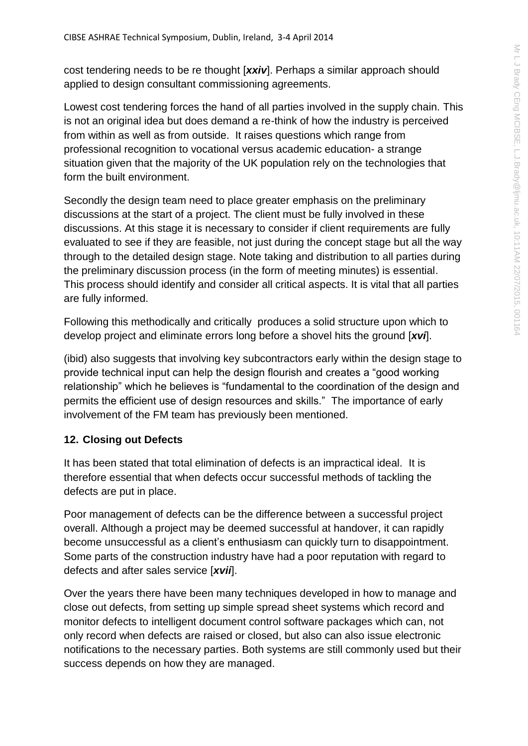cost tendering needs to be re thought [*xxiv*]. Perhaps a similar approach should applied to design consultant commissioning agreements.

Lowest cost tendering forces the hand of all parties involved in the supply chain. This is not an original idea but does demand a re-think of how the industry is perceived from within as well as from outside. It raises questions which range from professional recognition to vocational versus academic education- a strange situation given that the majority of the UK population rely on the technologies that form the built environment.

Secondly the design team need to place greater emphasis on the preliminary discussions at the start of a project. The client must be fully involved in these discussions. At this stage it is necessary to consider if client requirements are fully evaluated to see if they are feasible, not just during the concept stage but all the way through to the detailed design stage. Note taking and distribution to all parties during the preliminary discussion process (in the form of meeting minutes) is essential. This process should identify and consider all critical aspects. It is vital that all parties are fully informed.

Following this methodically and critically produces a solid structure upon which to develop project and eliminate errors long before a shovel hits the ground [*xvi*].

(ibid) also suggests that involving key subcontractors early within the design stage to provide technical input can help the design flourish and creates a "good working relationship" which he believes is "fundamental to the coordination of the design and permits the efficient use of design resources and skills." The importance of early involvement of the FM team has previously been mentioned.

#### **12. Closing out Defects**

It has been stated that total elimination of defects is an impractical ideal. It is therefore essential that when defects occur successful methods of tackling the defects are put in place.

Poor management of defects can be the difference between a successful project overall. Although a project may be deemed successful at handover, it can rapidly become unsuccessful as a client's enthusiasm can quickly turn to disappointment. Some parts of the construction industry have had a poor reputation with regard to defects and after sales service [*xvii*].

Over the years there have been many techniques developed in how to manage and close out defects, from setting up simple spread sheet systems which record and monitor defects to intelligent document control software packages which can, not only record when defects are raised or closed, but also can also issue electronic notifications to the necessary parties. Both systems are still commonly used but their success depends on how they are managed.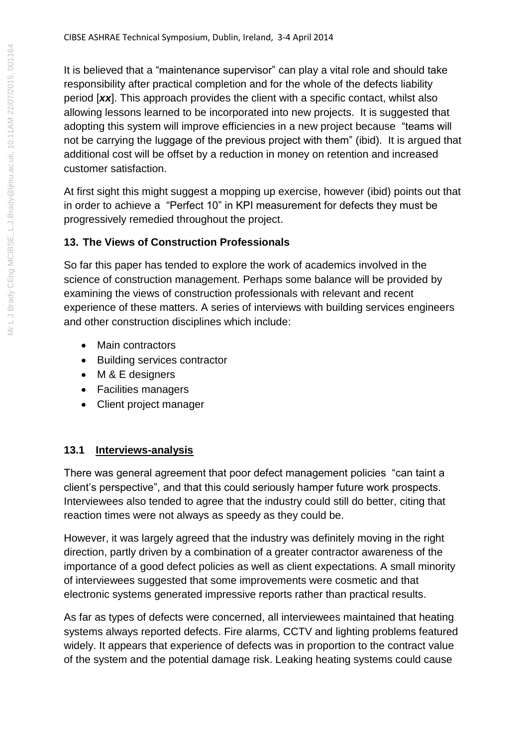It is believed that a "maintenance supervisor" can play a vital role and should take responsibility after practical completion and for the whole of the defects liability period [*xx*]. This approach provides the client with a specific contact, whilst also allowing lessons learned to be incorporated into new projects. It is suggested that adopting this system will improve efficiencies in a new project because "teams will not be carrying the luggage of the previous project with them" (ibid). It is argued that additional cost will be offset by a reduction in money on retention and increased customer satisfaction.

At first sight this might suggest a mopping up exercise, however (ibid) points out that in order to achieve a "Perfect 10" in KPI measurement for defects they must be progressively remedied throughout the project.

## **13. The Views of Construction Professionals**

So far this paper has tended to explore the work of academics involved in the science of construction management. Perhaps some balance will be provided by examining the views of construction professionals with relevant and recent experience of these matters. A series of interviews with building services engineers and other construction disciplines which include:

- Main contractors
- Building services contractor
- M & E designers
- Facilities managers
- Client project manager

## **13.1 Interviews-analysis**

There was general agreement that poor defect management policies "can taint a client's perspective", and that this could seriously hamper future work prospects. Interviewees also tended to agree that the industry could still do better, citing that reaction times were not always as speedy as they could be.

However, it was largely agreed that the industry was definitely moving in the right direction, partly driven by a combination of a greater contractor awareness of the importance of a good defect policies as well as client expectations. A small minority of interviewees suggested that some improvements were cosmetic and that electronic systems generated impressive reports rather than practical results.

As far as types of defects were concerned, all interviewees maintained that heating systems always reported defects. Fire alarms, CCTV and lighting problems featured widely. It appears that experience of defects was in proportion to the contract value of the system and the potential damage risk. Leaking heating systems could cause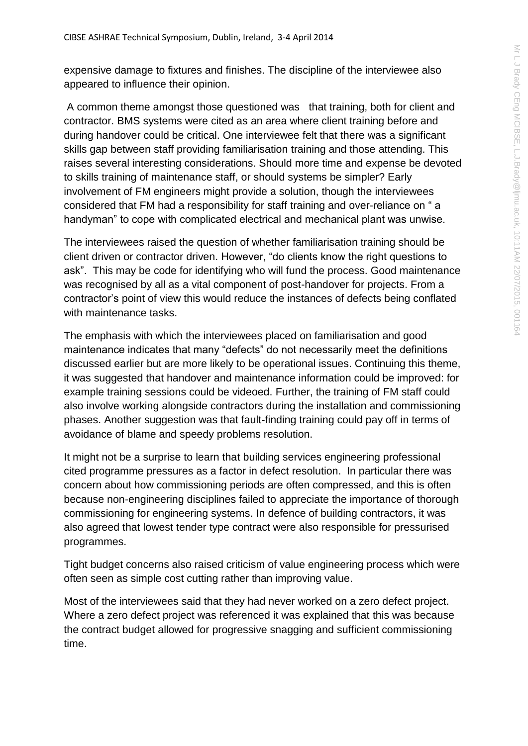expensive damage to fixtures and finishes. The discipline of the interviewee also appeared to influence their opinion.

A common theme amongst those questioned was that training, both for client and contractor. BMS systems were cited as an area where client training before and during handover could be critical. One interviewee felt that there was a significant skills gap between staff providing familiarisation training and those attending. This raises several interesting considerations. Should more time and expense be devoted to skills training of maintenance staff, or should systems be simpler? Early involvement of FM engineers might provide a solution, though the interviewees considered that FM had a responsibility for staff training and over-reliance on " a handyman" to cope with complicated electrical and mechanical plant was unwise.

The interviewees raised the question of whether familiarisation training should be client driven or contractor driven. However, "do clients know the right questions to ask". This may be code for identifying who will fund the process. Good maintenance was recognised by all as a vital component of post-handover for projects. From a contractor's point of view this would reduce the instances of defects being conflated with maintenance tasks.

The emphasis with which the interviewees placed on familiarisation and good maintenance indicates that many "defects" do not necessarily meet the definitions discussed earlier but are more likely to be operational issues. Continuing this theme, it was suggested that handover and maintenance information could be improved: for example training sessions could be videoed. Further, the training of FM staff could also involve working alongside contractors during the installation and commissioning phases. Another suggestion was that fault-finding training could pay off in terms of avoidance of blame and speedy problems resolution.

It might not be a surprise to learn that building services engineering professional cited programme pressures as a factor in defect resolution. In particular there was concern about how commissioning periods are often compressed, and this is often because non-engineering disciplines failed to appreciate the importance of thorough commissioning for engineering systems. In defence of building contractors, it was also agreed that lowest tender type contract were also responsible for pressurised programmes.

Tight budget concerns also raised criticism of value engineering process which were often seen as simple cost cutting rather than improving value.

Most of the interviewees said that they had never worked on a zero defect project. Where a zero defect project was referenced it was explained that this was because the contract budget allowed for progressive snagging and sufficient commissioning time.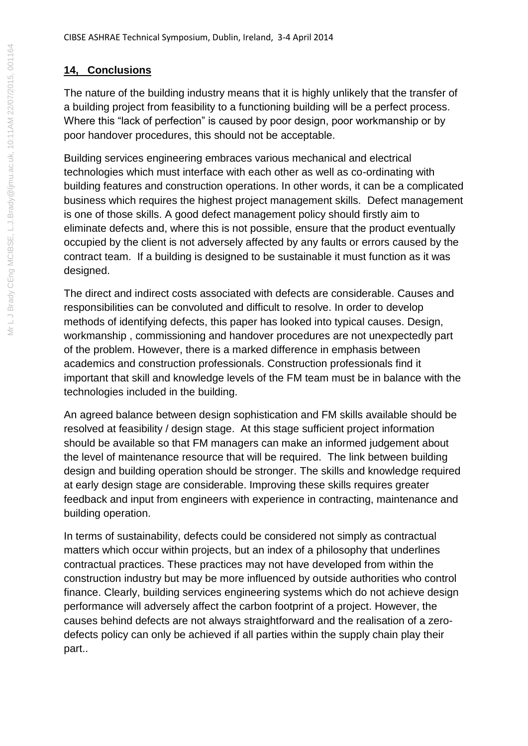### **14, Conclusions**

The nature of the building industry means that it is highly unlikely that the transfer of a building project from feasibility to a functioning building will be a perfect process. Where this "lack of perfection" is caused by poor design, poor workmanship or by poor handover procedures, this should not be acceptable.

Building services engineering embraces various mechanical and electrical technologies which must interface with each other as well as co-ordinating with building features and construction operations. In other words, it can be a complicated business which requires the highest project management skills. Defect management is one of those skills. A good defect management policy should firstly aim to eliminate defects and, where this is not possible, ensure that the product eventually occupied by the client is not adversely affected by any faults or errors caused by the contract team. If a building is designed to be sustainable it must function as it was designed.

The direct and indirect costs associated with defects are considerable. Causes and responsibilities can be convoluted and difficult to resolve. In order to develop methods of identifying defects, this paper has looked into typical causes. Design, workmanship , commissioning and handover procedures are not unexpectedly part of the problem. However, there is a marked difference in emphasis between academics and construction professionals. Construction professionals find it important that skill and knowledge levels of the FM team must be in balance with the technologies included in the building.

An agreed balance between design sophistication and FM skills available should be resolved at feasibility / design stage. At this stage sufficient project information should be available so that FM managers can make an informed judgement about the level of maintenance resource that will be required. The link between building design and building operation should be stronger. The skills and knowledge required at early design stage are considerable. Improving these skills requires greater feedback and input from engineers with experience in contracting, maintenance and building operation.

In terms of sustainability, defects could be considered not simply as contractual matters which occur within projects, but an index of a philosophy that underlines contractual practices. These practices may not have developed from within the construction industry but may be more influenced by outside authorities who control finance. Clearly, building services engineering systems which do not achieve design performance will adversely affect the carbon footprint of a project. However, the causes behind defects are not always straightforward and the realisation of a zerodefects policy can only be achieved if all parties within the supply chain play their part..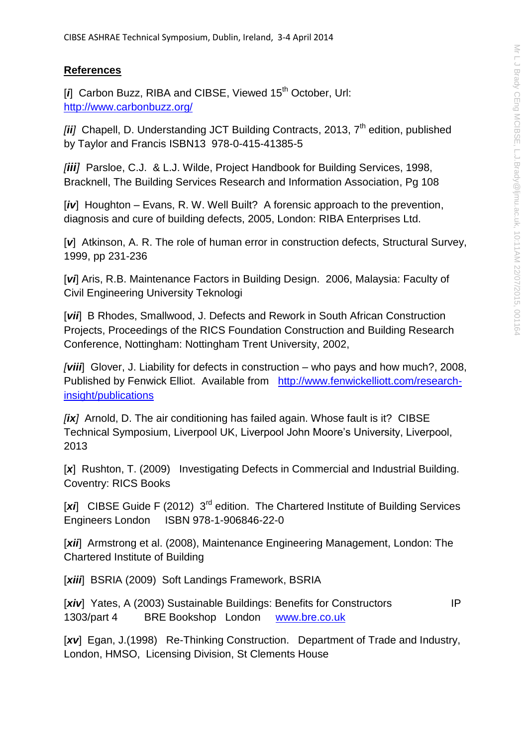#### **References**

[*i*] Carbon Buzz, RIBA and CIBSE, Viewed 15<sup>th</sup> October, Url: <http://www.carbonbuzz.org/>

[*ii*] Chapell, D. Understanding JCT Building Contracts, 2013, 7<sup>th</sup> edition, published by Taylor and Francis ISBN13 978-0-415-41385-5

*[iii]* Parsloe, C.J. & L.J. Wilde, Project Handbook for Building Services, 1998, Bracknell, The Building Services Research and Information Association, Pg 108

[*iv*] Houghton – Evans, R. W. Well Built? A forensic approach to the prevention, diagnosis and cure of building defects, 2005, London: RIBA Enterprises Ltd.

[ $v$ ] Atkinson, A. R. The role of human error in construction defects, Structural Survey, 1999, pp 231-236

[*vi*] Aris, R.B. Maintenance Factors in Building Design. 2006, Malaysia: Faculty of Civil Engineering University Teknologi

[*vii*] B Rhodes, Smallwood, J. Defects and Rework in South African Construction Projects, Proceedings of the RICS Foundation Construction and Building Research Conference, Nottingham: Nottingham Trent University, 2002,

*[viii*] Glover, J. Liability for defects in construction – who pays and how much?, 2008, Published by Fenwick Elliot. Available from [http://www.fenwickelliott.com/research](http://www.fenwickelliott.com/research-insight/publications)[insight/publications](http://www.fenwickelliott.com/research-insight/publications)

*[ix]* Arnold, D. The air conditioning has failed again. Whose fault is it? CIBSE Technical Symposium, Liverpool UK, Liverpool John Moore's University, Liverpool, 2013

[x] Rushton, T. (2009) Investigating Defects in Commercial and Industrial Building. Coventry: RICS Books

[xi] CIBSE Guide F (2012) 3<sup>rd</sup> edition. The Chartered Institute of Building Services Engineers London ISBN 978-1-906846-22-0

[xii] Armstrong et al. (2008), Maintenance Engineering Management, London: The Chartered Institute of Building

[xiii] BSRIA (2009) Soft Landings Framework, BSRIA

[xiv] Yates, A (2003) Sustainable Buildings: Benefits for Constructors IP 1303/part 4 BRE Bookshop London [www.bre.co.uk](http://www.bre.co.uk/)

[xv] Egan, J.(1998) Re-Thinking Construction. Department of Trade and Industry, London, HMSO, Licensing Division, St Clements House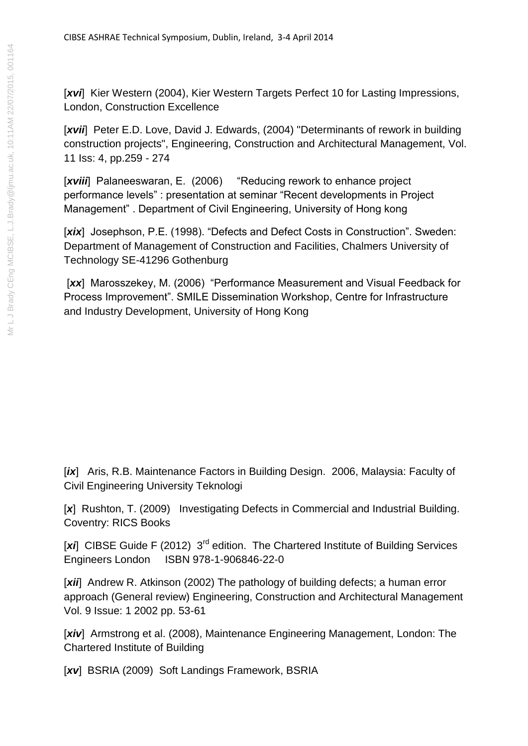[*xvi*] Kier Western (2004), Kier Western Targets Perfect 10 for Lasting Impressions, London, Construction Excellence

[xvii] Peter E.D. Love, David J. Edwards, (2004) "Determinants of rework in building construction projects", Engineering, Construction and Architectural Management, Vol. 11 Iss: 4, pp.259 - 274

[xviii] Palaneeswaran, E. (2006) "Reducing rework to enhance project performance levels" : presentation at seminar "Recent developments in Project Management" . Department of Civil Engineering, University of Hong kong

[xix] Josephson, P.E. (1998). "Defects and Defect Costs in Construction". Sweden: Department of Management of Construction and Facilities, Chalmers University of Technology SE-41296 Gothenburg

[xx] Marosszekey, M. (2006) "Performance Measurement and Visual Feedback for Process Improvement". SMILE Dissemination Workshop, Centre for Infrastructure and Industry Development, University of Hong Kong

[ix] Aris, R.B. Maintenance Factors in Building Design. 2006, Malaysia: Faculty of Civil Engineering University Teknologi

[x] Rushton, T. (2009) Investigating Defects in Commercial and Industrial Building. Coventry: RICS Books

[xi] CIBSE Guide F (2012) 3<sup>rd</sup> edition. The Chartered Institute of Building Services Engineers London ISBN 978-1-906846-22-0

[xii] Andrew R. Atkinson (2002) The pathology of building defects; a human error approach (General review) Engineering, Construction and Architectural Management Vol. 9 Issue: 1 2002 pp. 53-61

[xiv] Armstrong et al. (2008), Maintenance Engineering Management, London: The Chartered Institute of Building

[xv] BSRIA (2009) Soft Landings Framework, BSRIA